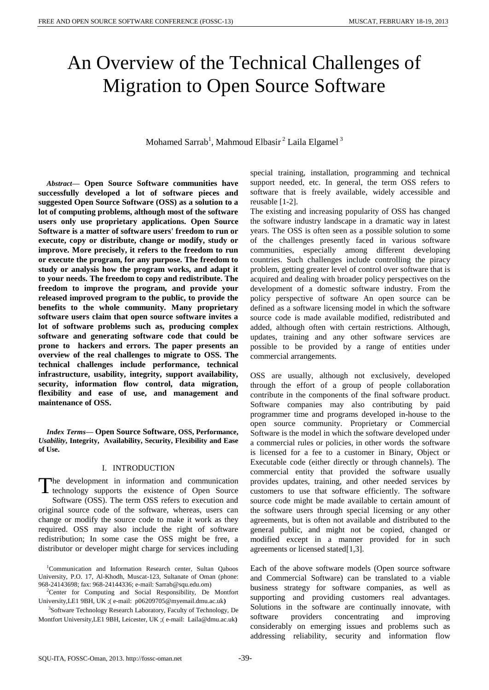# An Overview of the Technical Challenges of Migration to Open Source Software

# Mohamed Sarrab<sup>1</sup>, Mahmoud Elbasir<sup>2</sup> Laila Elgamel<sup>3</sup>

*Abstract***— Open Source Software communities have successfully developed a lot of software pieces and suggested Open Source Software (OSS) as a solution to a lot of computing problems, although most of the software users only use proprietary applications. Open Source Software is a matter of software users' freedom to run or execute, copy or distribute, change or modify, study or improve. More precisely, it refers to the freedom to run or execute the program, for any purpose. The freedom to study or analysis how the program works, and adapt it to your needs. The freedom to copy and redistribute. The freedom to improve the program, and provide your released improved program to the public, to provide the benefits to the whole community. Many proprietary software users claim that open source software invites a lot of software problems such as, producing complex software and generating software code that could be prone to hackers and errors. The paper presents an overview of the real challenges to migrate to OSS. The technical challenges include performance, technical infrastructure, usability, integrity, support availability, security, information flow control, data migration, flexibility and ease of use, and management and maintenance of OSS.** 

*Index Terms***— Open Source Software, OSS, Performance,**  *Usability***, Integrity, Availability, Security, Flexibility and Ease of Use.**

#### I. INTRODUCTION

he development in information and communication The development in information and communication<br>technology supports the existence of Open Source Software (OSS). The term OSS refers to execution and original source code of the software, whereas, users can change or modify the source code to make it work as they required. OSS may also include the right of software redistribution; In some case the OSS might be free, a distributor or developer might charge for services including

<sup>2</sup>Center for Computing and Social Responsibility, De Montfort University,LE1 9BH, UK ;( e-mail: [p06209705@myemail.dmu.ac.uk](http://us.mc1210.mail.yahoo.com/mc/compose?to=p06209705@myemail.dmu.ac.uk)**)**

<sup>3</sup>Software Technology Research Laboratory, Faculty of Technology, De Montfort University,LE1 9BH, Leicester, UK ;( e-mail: Laila@dmu.ac.uk**)** 

special training, installation, programming and technical support needed, etc. In general, the term OSS refers to software that is freely available, widely accessible and reusable [1-2].

The existing and increasing popularity of OSS has changed the software industry landscape in a dramatic way in latest years. The OSS is often seen as a possible solution to some of the challenges presently faced in various software communities, especially among different developing countries. Such challenges include controlling the piracy problem, getting greater level of control over software that is acquired and dealing with broader policy perspectives on the development of a domestic software industry. From the policy perspective of software An open source can be defined as a software licensing model in which the software source code is made available modified, redistributed and added, although often with certain restrictions. Although, updates, training and any other software services are possible to be provided by a range of entities under commercial arrangements.

OSS are usually, although not exclusively, developed through the effort of a group of people collaboration contribute in the components of the final software product. Software companies may also contributing by paid programmer time and programs developed in-house to the open source community. Proprietary or Commercial Software is the model in which the software developed under a commercial rules or policies, in other words the software is licensed for a fee to a customer in Binary, Object or Executable code (either directly or through channels). The commercial entity that provided the software usually provides updates, training, and other needed services by customers to use that software efficiently. The software source code might be made available to certain amount of the software users through special licensing or any other agreements, but is often not available and distributed to the general public, and might not be copied, changed or modified except in a manner provided for in such agreements or licensed stated[1,3].

Each of the above software models (Open source software and Commercial Software) can be translated to a viable business strategy for software companies, as well as supporting and providing customers real advantages. Solutions in the software are continually innovate, with software providers concentrating and improving considerably on emerging issues and problems such as addressing reliability, security and information flow

<sup>1</sup>Communication and Information Research center, Sultan Qaboos University, P.O. 17, Al-Khodh, Muscat-123, Sultanate of Oman (phone: 968-24143698; fax: 968-24144336; e-mail: Sarrab@squ.edu.om)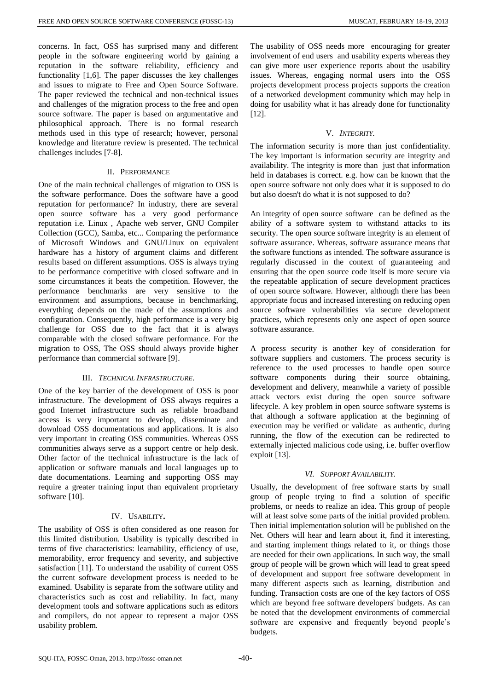concerns. In fact, OSS has surprised many and different people in the software engineering world by gaining a reputation in the software reliability, efficiency and functionality [1,6]. The paper discusses the key challenges and issues to migrate to Free and Open Source Software. The paper reviewed the technical and non-technical issues and challenges of the migration process to the free and open source software. The paper is based on argumentative and philosophical approach. There is no formal research methods used in this type of research; however, personal knowledge and literature review is presented. The technical challenges includes [7-8].

#### II. PERFORMANCE

One of the main technical challenges of migration to OSS is the software performance. Does the software have a good reputation for performance? In industry, there are several open source software has a very good performance reputation i.e. Linux , [Apache web server,](http://httpd.apache.org/) [GNU Compiler](http://gcc.gnu.org/)  [Collection \(GCC\),](http://gcc.gnu.org/) [Samba,](http://www.samba.org/samba/) etc... Comparing the performance of Microsoft Windows and GNU/Linux on equivalent hardware has a history of argument claims and different results based on different assumptions. OSS is always trying to be performance competitive with closed software and in some circumstances it beats the competition. However, the performance benchmarks are very sensitive to the environment and assumptions, because in benchmarking, everything depends on the made of the assumptions and configuration. Consequently, high performance is a very big challenge for OSS due to the fact that it is always comparable with the closed software performance. For the migration to OSS, The OSS should always provide higher performance than commercial software [9].

#### III. *TECHNICAL INFRASTRUCTURE*.

One of the key barrier of the development of OSS is poor infrastructure. The development of OSS always requires a good Internet infrastructure such as reliable broadband access is very important to develop, disseminate and download OSS documentations and applications. It is also very important in creating OSS communities. Whereas OSS communities always serve as a support centre or help desk. Other factor of the ttechnical infrastructure is the lack of application or software manuals and local languages up to date documentations. Learning and supporting OSS may require a greater training input than equivalent proprietary software [10].

## IV. USABILITY**.**

The usability of OSS is often considered as one reason for this limited distribution. Usability is typically described in terms of five characteristics: learnability, efficiency of use, memorability, error frequency and severity, and subjective satisfaction [11]. To understand the usability of current OSS the current software development process is needed to be examined. Usability is separate from the software utility and characteristics such as cost and reliability. In fact, many development tools and software applications such as editors and compilers, do not appear to represent a major OSS usability problem.

The usability of OSS needs more encouraging for greater involvement of end users and usability experts whereas they can give more user experience reports about the usability issues. Whereas, engaging normal users into the OSS projects development process projects supports the creation of a networked development community which may help in doing for usability what it has already done for functionality [12].

#### V. *INTEGRITY*.

The information security is more than just confidentiality. The key important is information security are integrity and availability. The integrity is more than just that information held in databases is correct. e.g. how can be known that the open source software not only does what it is supposed to do but also doesn't do what it is not supposed to do?

An integrity of open source software can be defined as the ability of a software system to withstand attacks to its security. The open source software integrity is an element of software assurance. Whereas, software assurance means that the software functions as intended. The software assurance is regularly discussed in the context of guaranteeing and ensuring that the open source code itself is more secure via the repeatable application of secure development practices of open source software. However, although there has been appropriate focus and increased interesting on reducing open source software vulnerabilities via secure development practices, which represents only one aspect of open source software assurance.

A process security is another key of consideration for software suppliers and customers. The process security is reference to the used processes to handle open source software components during their source obtaining, development and delivery, meanwhile a variety of possible attack vectors exist during the open source software lifecycle. A key problem in open source software systems is that although a software application at the beginning of execution may be verified or validate as authentic, during running, the flow of the execution can be redirected to externally injected malicious code using, i.e. buffer overflow exploit [13].

## *VI. SUPPORT AVAILABILITY.*

Usually, the development of free software starts by small group of people trying to find a solution of specific problems, or needs to realize an idea. This group of people will at least solve some parts of the initial provided problem. Then initial implementation solution will be published on the Net. Others will hear and learn about it, find it interesting, and starting implement things related to it, or things those are needed for their own applications. In such way, the small group of people will be grown which will lead to great speed of development and support free software development in many different aspects such as learning, distribution and funding. Transaction costs are one of the key factors of OSS which are beyond free software developers' budgets. As can be noted that the development environments of commercial software are expensive and frequently beyond people's budgets.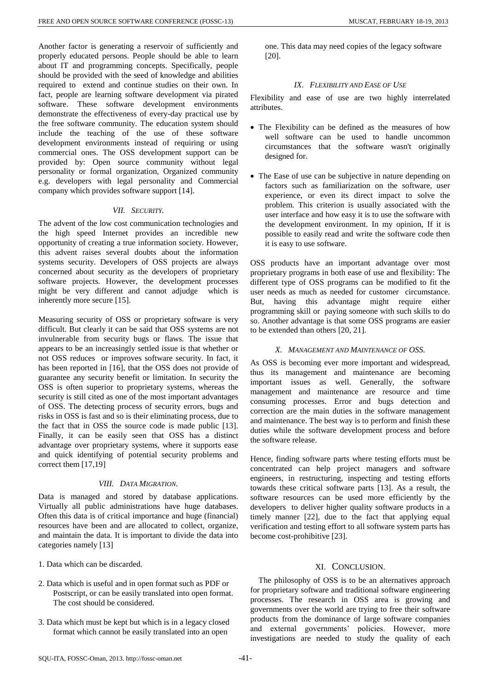Another factor is generating a reservoir of sufficiently and properly educated persons. People should be able to learn about IT and programming concepts. Specifically, people should be provided with the seed of knowledge and abilities required to extend and continue studies on their own. In fact, people are learning software development via pirated software. These software development environments demonstrate the effectiveness of every-day practical use by the free software community. The education system should include the teaching of the use of these software development environments instead of requiring or using commercial ones. The OSS development support can be provided by: Open source community without legal personality or formal organization, Organized community e.g. developers with legal personality and Commercial company which provides software support [14].

# *VII. SECURITY.*

The advent of the low cost communication technologies and the high speed Internet provides an incredible new opportunity of creating a true information society. However, this advent raises several doubts about the information systems security. Developers of OSS projects are always concerned about security as the developers of proprietary software projects. However, the development processes might be very different and cannot adjudge which is inherently more secure [15].

Measuring security of OSS or proprietary software is very difficult. But clearly it can be said that OSS systems are not invulnerable from security bugs or flaws. The issue that appears to be an increasingly settled issue is that whether or not OSS reduces or improves software security. In fact, it has been reported in [16], that the OSS does not provide of guarantee any security benefit or limitation. In security the OSS is often superior to proprietary systems, whereas the security is still cited as one of the most important advantages of OSS. The detecting process of security errors, bugs and risks in OSS is fast and so is their eliminating process, due to the fact that in OSS the source code is made public [13]. Finally, it can be easily seen that OSS has a distinct advantage over proprietary systems, where it supports ease and quick identifying of potential security problems and correct them [17,19]

## *VIII. DATA MIGRATION.*

Data is managed and stored by database applications. Virtually all public administrations have huge databases. Often this data is of critical importance and huge (financial) resources have been and are allocated to collect, organize, and maintain the data. It is important to divide the data into categories namely [13]

- 1. Data which can be discarded.
- 2. Data which is useful and in open format such as PDF or Postscript, or can be easily translated into open format. The cost should be considered.
- 3. Data which must be kept but which is in a legacy closed format which cannot be easily translated into an open

one. This data may need copies of the legacy software [20].

# *IX. FLEXIBILITY AND EASE OF USE*

Flexibility and ease of use are two highly interrelated attributes.

- The Flexibility can be defined as the measures of how well software can be used to handle uncommon circumstances that the software wasn't originally designed for.
- The Ease of use can be subjective in nature depending on factors such as familiarization on the software, user experience, or even its direct impact to solve the problem. This criterion is usually associated with the user interface and how easy it is to use the software with the development environment. In my opinion, If it is possible to easily read and write the software code then it is easy to use software.

OSS products have an important advantage over most proprietary programs in both ease of use and flexibility: The different type of OSS programs can be modified to fit the user needs as much as needed for customer circumstance. But, having this advantage might require either programming skill or paying someone with such skills to do so. Another advantage is that some OSS programs are easier to be extended than others [20, 21].

# *X. MANAGEMENT AND MAINTENANCE OF OSS.*

As OSS is becoming ever more important and widespread, thus its management and maintenance are becoming important issues as well. Generally, the software management and maintenance are resource and time consuming processes. Error and bugs detection and correction are the main duties in the software management and maintenance. The best way is to perform and finish these duties while the software development process and before the software release.

Hence, finding software parts where testing efforts must be concentrated can help project managers and software engineers, in restructuring, inspecting and testing efforts towards these critical software parts [13]. As a result, the software resources can be used more efficiently by the developers to deliver higher quality software products in a timely manner [22], due to the fact that applying equal verification and testing effort to all software system parts has become cost-prohibitive [23].

# XI. CONCLUSION.

The philosophy of OSS is to be an alternatives approach for proprietary software and traditional software engineering processes. The research in OSS area is growing and governments over the world are trying to free their software products from the dominance of large software companies and external governments' policies. However, more investigations are needed to study the quality of each